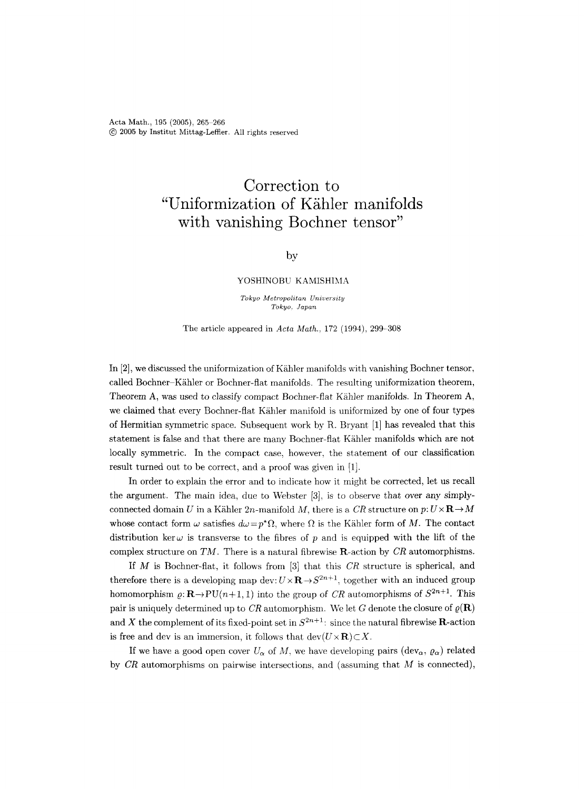Acta Math., 195 (2005), 265-266 @ 2005 by Institut Mittag-Leffler. All rights reserved

# **Correction to "Uniformization of K/ihler manifolds with vanishing Bochner tensor"**

### by

#### YOSHINOBU KAMISHIMA

*Tokyo Metropolitan University Tokyo, Japan* 

The article appeared in *Acta Math.,* 172 (1994), 299-308

In [2], we discussed the uniformization of Kähler manifolds with vanishing Bochner tensor, called Bochner-Kähler or Bochner-flat manifolds. The resulting uniformization theorem, Theorem A, was used to classify compact Bochner-flat Kähler manifolds. In Theorem A, we claimed that every Bochner-flat Kähler manifold is uniformized by one of four types of Hermitian symmetric space. Subsequent work by R. Bryant [1] has revealed that this statement is false and that there are many Bochner-flat Kghler manifolds which are not locally symmetric. In the compact case, however, the statement of our classification result turned out to be correct, and a proof was given in [1].

In order to explain the error and to indicate how it might be corrected, let us recall the argument. The main idea, due to Webster [3], is to observe that over any simplyconnected domain U in a Kähler 2n-manifold M, there is a CR structure on  $p: U \times \mathbf{R} \to M$ whose contact form  $\omega$  satisfies  $d\omega=p^*\Omega$ , where  $\Omega$  is the Kähler form of M. The contact distribution ker  $\omega$  is transverse to the fibres of p and is equipped with the lift of the complex structure on *TM.* There is a natural fibrewise R-action by *CR* automorphisms.

If M is Bochner-flat, it follows from [3] that this *CR* structure is spherical, and therefore there is a developing map dev:  $U \times \mathbf{R} \rightarrow S^{2n+1}$ , together with an induced group homomorphism  $\varrho: \mathbf{R} \to \mathrm{PU}(n+1, 1)$  into the group of *CR* automorphisms of  $S^{2n+1}$ . This pair is uniquely determined up to *CR* automorphism. We let G denote the closure of  $\varrho(\mathbf{R})$ and X the complement of its fixed-point set in  $S^{2n+1}$ : since the natural fibrewise **R**-action is free and dev is an immersion, it follows that  $dev(U \times \mathbf{R}) \subset X$ .

If we have a good open cover  $U_{\alpha}$  of M, we have developing pairs (dev<sub> $\alpha$ </sub>,  $\rho_{\alpha}$ ) related by *CR* automorphisms on pairwise intersections, and (assuming that M is connected),